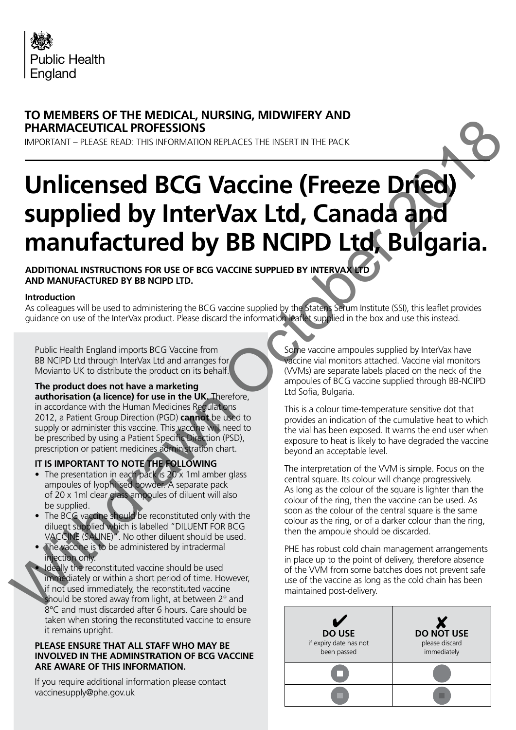

## **TO MEMBERS OF THE MEDICAL, NURSING, MIDWIFERY AND PHARMACEUTICAL PROFESSIONS**

IMPORTANT – PLEASE READ: THIS INFORMATION REPLACES THE INSERT IN THE PACK

# **Unlicensed BCG Vaccine (Freeze Dried) supplied by InterVax Ltd, Canada and manufactured by BB NCIPD Ltd, Bulgaria.** PHARMACEUTICAL PROFESSIONS.<br>
MORENAL PROFESSIONS. THE MELTINE REVENUE DEVICE CONTROL PROPERTY AND INTERNATIONAL PROPERTY OF THE MELTINE CONTROL CONTROL CONTROL CONTROL CONTROL CONTROL CONTROL CONTROL CONTROL CONTROL CONTRO

**ADDITIONAL INSTRUCTIONS FOR USE OF BCG VACCINE SUPPLIED BY INTERVAX LTD AND MANUFACTURED BY BB NCIPD LTD.**

#### **Introduction**

As colleagues will be used to administering the BCG vaccine supplied by the Statens Serum Institute (SSI), this leaflet provides guidance on use of the InterVax product. Please discard the information leaflet supplied in the box and use this instead.

Public Health England imports BCG Vaccine from BB NCIPD Ltd through InterVax Ltd and arranges for Movianto UK to distribute the product on its behalf.

#### **The product does not have a marketing**

**authorisation (a licence) for use in the UK.** Therefore, in accordance with the Human Medicines Regulations 2012, a Patient Group Direction (PGD) **cannot** be used to supply or administer this vaccine. This vaccine will need to be prescribed by using a Patient Specific Direction (PSD), prescription or patient medicines administration chart.

#### **IT IS IMPORTANT TO NOTE THE FOLLOWING**

- The presentation in each pack is 20 x 1 ml amber glass ampoules of lyophilised powder. A separate pack of 20 x 1ml clear glass ampoules of diluent will also be supplied.
- The BCG vaccine should be reconstituted only with the diluent supplied which is labelled "DILUENT FOR BCG VACCINE (SALINE)". No other diluent should be used.
- The vaccine is to be administered by intradermal injection only.
- Ideally the reconstituted vaccine should be used immediately or within a short period of time. However, if not used immediately, the reconstituted vaccine should be stored away from light, at between 2° and 8°C and must discarded after 6 hours. Care should be taken when storing the reconstituted vaccine to ensure it remains upright.

#### **PLEASE ENSURE THAT ALL STAFF WHO MAY BE INVOLVED IN THE ADMINSTRATION OF BCG VACCINE ARE AWARE OF THIS INFORMATION.**

If you require additional information please contact vaccinesupply@phe.gov.uk

Some vaccine ampoules supplied by InterVax have vaccine vial monitors attached. Vaccine vial monitors (VVMs) are separate labels placed on the neck of the ampoules of BCG vaccine supplied through BB-NCIPD Ltd Sofia, Bulgaria.

This is a colour time-temperature sensitive dot that provides an indication of the cumulative heat to which the vial has been exposed. It warns the end user when exposure to heat is likely to have degraded the vaccine beyond an acceptable level.

The interpretation of the VVM is simple. Focus on the central square. Its colour will change progressively. As long as the colour of the square is lighter than the colour of the ring, then the vaccine can be used. As soon as the colour of the central square is the same colour as the ring, or of a darker colour than the ring, then the ampoule should be discarded.

PHE has robust cold chain management arrangements in place up to the point of delivery, therefore absence of the VVM from some batches does not prevent safe use of the vaccine as long as the cold chain has been maintained post-delivery.

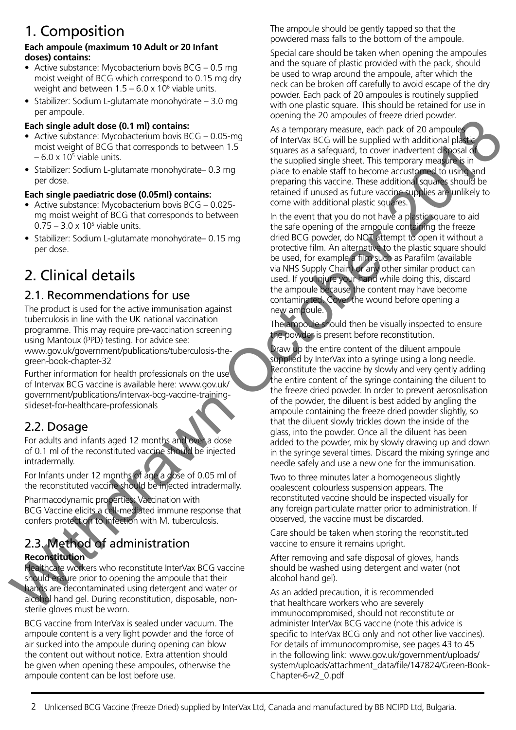# 1. Composition

#### **Each ampoule (maximum 10 Adult or 20 Infant doses) contains:**

- Active substance: Mycobacterium bovis BCG 0.5 mg moist weight of BCG which correspond to 0.15 mg dry weight and between  $1.5 - 6.0 \times 10^6$  viable units.
- Stabilizer: Sodium L-glutamate monohydrate 3.0 mg per ampoule.

## **Each single adult dose (0.1 ml) contains:**

- Active substance: Mycobacterium bovis BCG 0.05-mg moist weight of BCG that corresponds to between 1.5  $-6.0 \times 10^5$  viable units.
- Stabilizer: Sodium L-glutamate monohydrate– 0.3 mg per dose.

## **Each single paediatric dose (0.05ml) contains:**

- Active substance: Mycobacterium bovis BCG 0.025 mg moist weight of BCG that corresponds to between  $0.75 - 3.0 \times 10^5$  viable units.
- Stabilizer: Sodium L-glutamate monohydrate– 0.15 mg per dose.

# 2. Clinical details

## 2.1. Recommendations for use

The product is used for the active immunisation against tuberculosis in line with the UK national vaccination programme. This may require pre-vaccination screening using Mantoux (PPD) testing. For advice see: www.gov.uk/government/publications/tuberculosis-thegreen-book-chapter-32

Further information for health professionals on the use of Intervax BCG vaccine is available here: www.gov.uk/ government/publications/intervax-bcg-vaccine-trainingslideset-for-healthcare-professionals

## 2.2. Dosage

For adults and infants aged 12 months and over a dose of 0.1 ml of the reconstituted vaccine should be injected intradermally.

For Infants under 12 months of age a dose of 0.05 ml of the reconstituted vaccine should be injected intradermally.

Pharmacodynamic properties: Vaccination with BCG Vaccine elicits a cell-mediated immune response that confers protection to infection with M. tuberculosis.

### 2.3. Method of administration **Reconstitution**

Healthcare workers who reconstitute InterVax BCG vaccine should ensure prior to opening the ampoule that their hands are decontaminated using detergent and water or alcohol hand gel. During reconstitution, disposable, nonsterile gloves must be worn.

BCG vaccine from InterVax is sealed under vacuum. The ampoule content is a very light powder and the force of air sucked into the ampoule during opening can blow the content out without notice. Extra attention should be given when opening these ampoules, otherwise the ampoule content can be lost before use.

The ampoule should be gently tapped so that the powdered mass falls to the bottom of the ampoule.

Special care should be taken when opening the ampoules and the square of plastic provided with the pack, should be used to wrap around the ampoule, after which the neck can be broken off carefully to avoid escape of the dry powder. Each pack of 20 ampoules is routinely supplied with one plastic square. This should be retained for use in opening the 20 ampoules of freeze dried powder.

As a temporary measure, each pack of 20 ampoules of InterVax BCG will be supplied with additional plastic squares as a safeguard, to cover inadvertent disposal of the supplied single sheet. This temporary measure is in place to enable staff to become accustomed to using and preparing this vaccine. These additional squares should be retained if unused as future vaccine supplies are unlikely to come with additional plastic squares.

In the event that you do not have a plastic square to aid the safe opening of the ampoule containing the freeze dried BCG powder, do NOT attempt to open it without a protective film. An alternative to the plastic square should be used, for example a film such as Parafilm (available via NHS Supply Chain) or any other similar product can used. If you injure your hand while doing this, discard the ampoule because the content may have become contaminated. Cover the wound before opening a new ampoule.

The ampoule should then be visually inspected to ensure the powder is present before reconstitution.

Draw up the entire content of the diluent ampoule supplied by InterVax into a syringe using a long needle. Reconstitute the vaccine by slowly and very gently adding the entire content of the syringe containing the diluent to the freeze dried powder. In order to prevent aerosolisation of the powder, the diluent is best added by angling the ampoule containing the freeze dried powder slightly, so that the diluent slowly trickles down the inside of the glass, into the powder. Once all the diluent has been added to the powder, mix by slowly drawing up and down in the syringe several times. Discard the mixing syringe and needle safely and use a new one for the immunisation. Each shelt does (1.1 m) co[n](https://www.gov.uk/government/publications/intervax-bcg-vaccine-training-slideset-for-healthcare-professionals)tains to the state of the contained the state of the contains and the state of the contains of the state of the contains of the state of the contains of the state of the contains of the state of

Two to three minutes later a homogeneous slightly opalescent colourless suspension appears. The reconstituted vaccine should be inspected visually for any foreign particulate matter prior to administration. If observed, the vaccine must be discarded.

Care should be taken when storing the reconstituted vaccine to ensure it remains upright.

After removing and safe disposal of gloves, hands should be washed using detergent and water (not alcohol hand gel).

As an added precaution, it is recommended that healthcare workers who are severely immunocompromised, should not reconstitute or administer InterVax BCG vaccine (note this advice is specific to InterVax BCG only and not other live vaccines). For details of immunocompromise, see pages 43 to 45 in the following link: [www.gov.uk/government/uploads/](https://www.gov.uk/government/uploads/system/uploads/attachment_data/file/147824/Green-Book-Chapter-6-v2_0.pdf) [system/uploads/attachment\\_data/file/147824/Green-Book-](https://www.gov.uk/government/uploads/system/uploads/attachment_data/file/147824/Green-Book-Chapter-6-v2_0.pdf)[Chapter-6-v2\\_0.pdf](https://www.gov.uk/government/uploads/system/uploads/attachment_data/file/147824/Green-Book-Chapter-6-v2_0.pdf)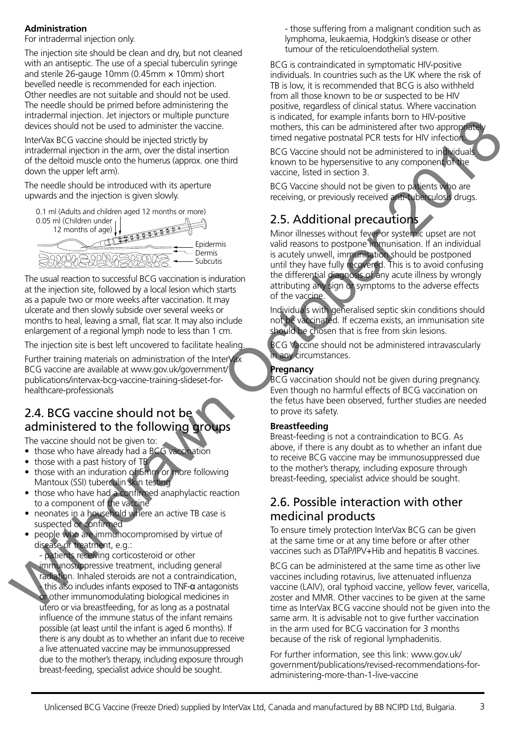#### **Administration**

For intradermal injection only.

The injection site should be clean and dry, but not cleaned with an antiseptic. The use of a special tuberculin syringe and sterile 26-gauge 10mm (0.45mm  $\times$  10mm) short bevelled needle is recommended for each injection. Other needles are not suitable and should not be used. The needle should be primed before administering the intradermal injection. Jet injectors or multiple puncture devices should not be used to administer the vaccine.

InterVax BCG vaccine should be injected strictly by intradermal injection in the arm, over the distal insertion of the deltoid muscle onto the humerus (approx. one third down the upper left arm).

The needle should be introduced with its aperture upwards and the injection is given slowly.



The usual reaction to successful BCG vaccination is induration at the injection site, followed by a local lesion which starts as a papule two or more weeks after vaccination. It may ulcerate and then slowly subside over several weeks or months to heal, leaving a small, flat scar. It may also include enlargement of a regional lymph node to less than 1 cm.

The injection site is best left uncovered to facilitate healing.

Further training materials on administration of the InterVax BCG vaccine are available at www.gov.uk/government/ publications/intervax-bcg-vaccine-training-slideset-forhealthcare-professionals

## 2.4. BCG vaccine should not be administered to the following groups

The vaccine should not be given to:

- those who have already had a BCG vaccination
- those with a past history of TB
- those with an induration of 5mm or more following Mantoux (SSI) tuberculin skin testing
- those who have had a confirmed anaphylactic reaction to a component of the vaccine
- neonates in a household where an active TB case is suspected or confirmed
- people who are immunocompromised by virtue of disease or treatment, e.g.:

- patients receiving corticosteroid or other immunosuppressive treatment, including general radiation. Inhaled steroids are not a contraindication, - this also includes infants exposed to TNF-α antagonists or other immunomodulating biological medicines in utero or via breastfeeding, for as long as a postnatal influence of the immune status of the infant remains possible (at least until the infant is aged 6 months). If there is any doubt as to whether an infant due to receive a live attenuated vaccine may be immunosuppressed due to the mother's therapy, including exposure through breast-feeding, specialist advice should be sought.

- those suffering from a malignant condition such as lymphoma, leukaemia, Hodgkin's disease or other tumour of the reticuloendothelial system.

BCG is contraindicated in symptomatic HIV-positive individuals. In countries such as the UK where the risk of TB is low, it is recommended that BCG is also withheld from all those known to be or suspected to be HIV positive, regardless of clinical status. Where vaccination is indicated, for example infants born to HIV-positive mothers, this can be administered after two appropriately timed negative postnatal PCR tests for HIV infection.

BCG Vaccine should not be administered to individuals known to be hypersensitive to any component of the vaccine, listed in section 3.

BCG Vaccine should not be given to patients who are receiving, or previously received anti-tuberculosis drugs.

## 2.5. Additional precautions

Minor illnesses without fever or systemic upset are not valid reasons to postpone immunisation. If an individual is acutely unwell, immunisation should be postponed until they have fully recovered. This is to avoid confusing the differential diagnosis of any acute illness by wrongly attributing any sign or symptoms to the adverse effects of the vaccine. decreases the control of the control of the control of the control of the control of the control of the control of the control of the control of the control of the control of the control of the control of the control of t

Individuals with generalised septic skin conditions should not be vaccinated. If eczema exists, an immunisation site should be chosen that is free from skin lesions.

BCG Vaccine should not be administered intravascularly in any circumstances.

#### **Pregnancy**

BCG vaccination should not be given during pregnancy. Even though no harmful effects of BCG vaccination on the fetus have been observed, further studies are needed to prove its safety.

#### **Breastfeeding**

Breast-feeding is not a contraindication to BCG. As above, if there is any doubt as to whether an infant due to receive BCG vaccine may be immunosuppressed due to the mother's therapy, including exposure through breast-feeding, specialist advice should be sought.

## 2.6. Possible interaction with other medicinal products

To ensure timely protection InterVax BCG can be given at the same time or at any time before or after other vaccines such as DTaP/IPV+Hib and hepatitis B vaccines.

BCG can be administered at the same time as other live vaccines including rotavirus, live attenuated influenza vaccine (LAIV), oral typhoid vaccine, yellow fever, varicella, zoster and MMR. Other vaccines to be given at the same time as InterVax BCG vaccine should not be given into the same arm. It is advisable not to give further vaccination in the arm used for BCG vaccination for 3 months because of the risk of regional lymphadenitis.

For further information, see this link: [www.gov.uk/](http://www.gov.uk/government/publications/revised-recommendations-for-administering-more-than-1-live-vaccine) [government/publications/revised-recommendations-for](http://www.gov.uk/government/publications/revised-recommendations-for-administering-more-than-1-live-vaccine)[administering-more-than-1-live-vaccine](http://www.gov.uk/government/publications/revised-recommendations-for-administering-more-than-1-live-vaccine)

3